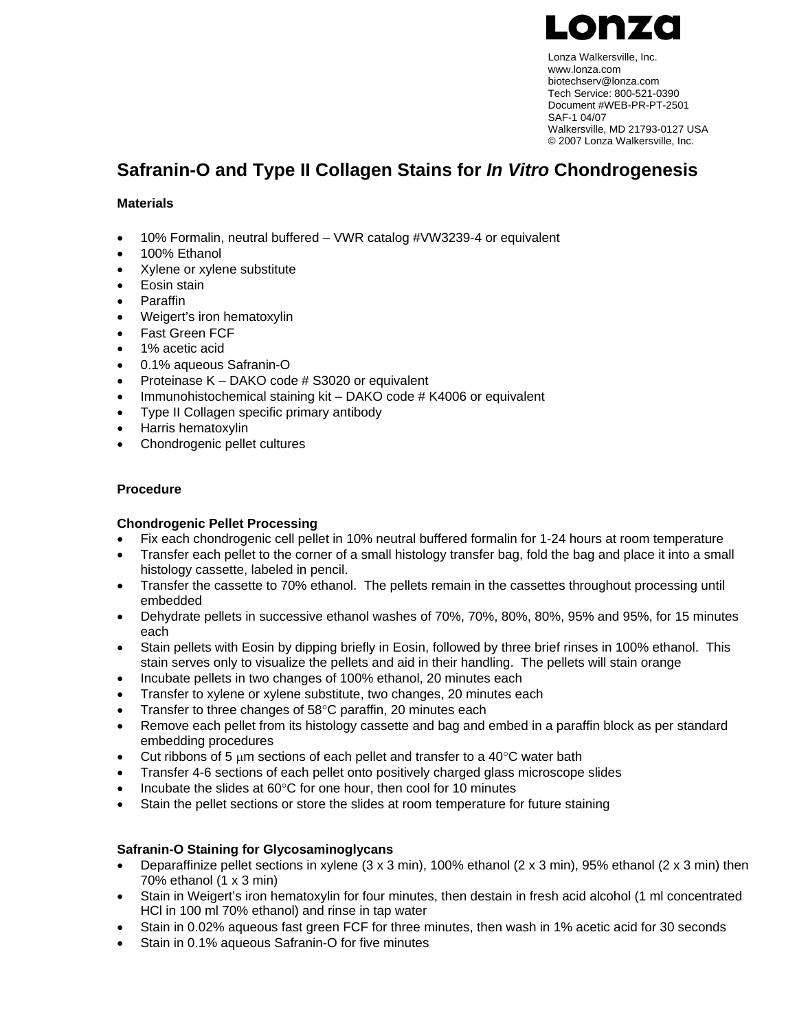

Lonza Walkersville, Inc. www.lonza.com biotechserv@lonza.com Tech Service: 800-521-0390 Document #WEB-PR-PT-2501 SAF-1 04/07 Walkersville, MD 21793-0127 USA © 2007 Lonza Walkersville, Inc.

## **Safranin-O and Type II Collagen Stains for** *In Vitro* **Chondrogenesis**

### **Materials**

- 10% Formalin, neutral buffered VWR catalog #VW3239-4 or equivalent
- 100% Ethanol
- Xylene or xylene substitute
- Eosin stain
- Paraffin
- Weigert's iron hematoxylin
- Fast Green FCF
- 1% acetic acid
- 0.1% aqueous Safranin-O
- Proteinase K DAKO code # S3020 or equivalent
- Immunohistochemical staining kit DAKO code # K4006 or equivalent
- Type II Collagen specific primary antibody
- Harris hematoxylin
- Chondrogenic pellet cultures

### **Procedure**

### **Chondrogenic Pellet Processing**

- Fix each chondrogenic cell pellet in 10% neutral buffered formalin for 1-24 hours at room temperature
- Transfer each pellet to the corner of a small histology transfer bag, fold the bag and place it into a small histology cassette, labeled in pencil.
- Transfer the cassette to 70% ethanol. The pellets remain in the cassettes throughout processing until embedded
- Dehydrate pellets in successive ethanol washes of 70%, 70%, 80%, 80%, 95% and 95%, for 15 minutes each
- Stain pellets with Eosin by dipping briefly in Eosin, followed by three brief rinses in 100% ethanol. This stain serves only to visualize the pellets and aid in their handling. The pellets will stain orange
- Incubate pellets in two changes of 100% ethanol, 20 minutes each
- Transfer to xylene or xylene substitute, two changes, 20 minutes each
- Transfer to three changes of 58°C paraffin, 20 minutes each
- Remove each pellet from its histology cassette and bag and embed in a paraffin block as per standard embedding procedures
- Cut ribbons of 5  $\mu$ m sections of each pellet and transfer to a 40 $\degree$ C water bath
- Transfer 4-6 sections of each pellet onto positively charged glass microscope slides
- Incubate the slides at 60°C for one hour, then cool for 10 minutes
- Stain the pellet sections or store the slides at room temperature for future staining

### **Safranin-O Staining for Glycosaminoglycans**

- Deparaffinize pellet sections in xylene  $(3 \times 3 \text{ min})$ , 100% ethanol  $(2 \times 3 \text{ min})$ , 95% ethanol  $(2 \times 3 \text{ min})$  then 70% ethanol (1 x 3 min)
- Stain in Weigert's iron hematoxylin for four minutes, then destain in fresh acid alcohol (1 ml concentrated HCl in 100 ml 70% ethanol) and rinse in tap water
- Stain in 0.02% aqueous fast green FCF for three minutes, then wash in 1% acetic acid for 30 seconds
- Stain in 0.1% aqueous Safranin-O for five minutes